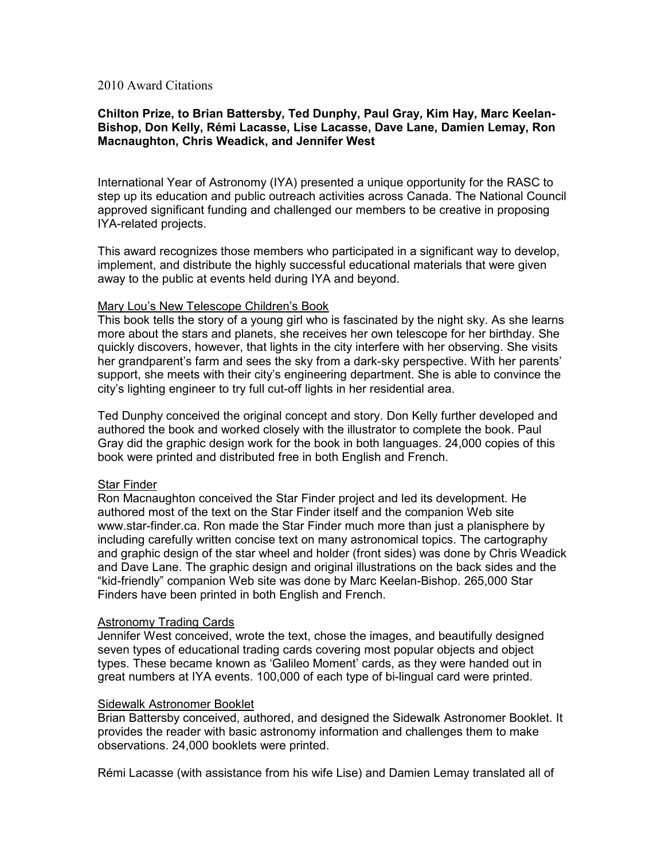## 2010 Award Citations

# Chilton Prize, to Brian Battersby, Ted Dunphy, Paul Gray, Kim Hay, Marc Keelan-Bishop, Don Kelly, Rémi Lacasse, Lise Lacasse, Dave Lane, Damien Lemay, Ron Macnaughton, Chris Weadick, and Jennifer West

International Year of Astronomy (IYA) presented a unique opportunity for the RASC to step up its education and public outreach activities across Canada. The National Council approved significant funding and challenged our members to be creative in proposing IYA-related projects.

This award recognizes those members who participated in a significant way to develop, implement, and distribute the highly successful educational materials that were given away to the public at events held during IYA and beyond.

#### Mary Lou's New Telescope Children's Book

This book tells the story of a young girl who is fascinated by the night sky. As she learns more about the stars and planets, she receives her own telescope for her birthday. She quickly discovers, however, that lights in the city interfere with her observing. She visits her grandparent's farm and sees the sky from a dark-sky perspective. With her parents' support, she meets with their city's engineering department. She is able to convince the city's lighting engineer to try full cut-off lights in her residential area.

Ted Dunphy conceived the original concept and story. Don Kelly further developed and authored the book and worked closely with the illustrator to complete the book. Paul Gray did the graphic design work for the book in both languages. 24,000 copies of this book were printed and distributed free in both English and French.

## Star Finder

Ron Macnaughton conceived the Star Finder project and led its development. He authored most of the text on the Star Finder itself and the companion Web site www.star-finder.ca. Ron made the Star Finder much more than just a planisphere by including carefully written concise text on many astronomical topics. The cartography and graphic design of the star wheel and holder (front sides) was done by Chris Weadick and Dave Lane. The graphic design and original illustrations on the back sides and the "kid-friendly" companion Web site was done by Marc Keelan-Bishop. 265,000 Star Finders have been printed in both English and French.

## Astronomy Trading Cards

Jennifer West conceived, wrote the text, chose the images, and beautifully designed seven types of educational trading cards covering most popular objects and object types. These became known as 'Galileo Moment' cards, as they were handed out in great numbers at IYA events. 100,000 of each type of bi-lingual card were printed.

#### Sidewalk Astronomer Booklet

Brian Battersby conceived, authored, and designed the Sidewalk Astronomer Booklet. It provides the reader with basic astronomy information and challenges them to make observations. 24,000 booklets were printed.

Rémi Lacasse (with assistance from his wife Lise) and Damien Lemay translated all of